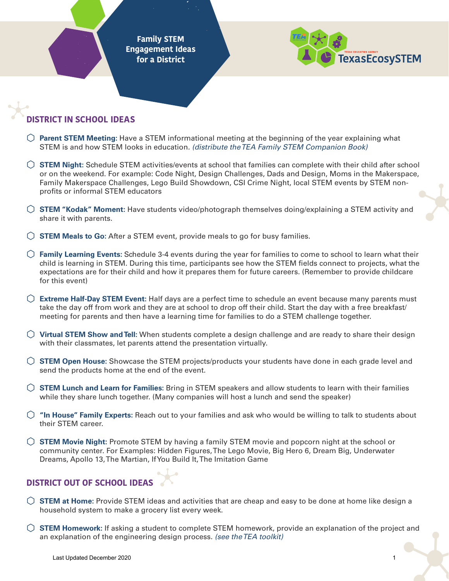**Family STEM Engagement Ideas for a District**



## **DISTRICT IN SCHOOL IDEAS**

- ⬡ **Parent STEM Meeting:** Have a STEM informational meeting at the beginning of the year explaining what STEM is and how STEM looks in education*. (distribute the TEA Family STEM Companion Book)*
- ⬡ **STEM Night:** Schedule STEM activities/events at school that families can complete with their child after school or on the weekend. For example: Code Night, Design Challenges, Dads and Design, Moms in the Makerspace, Family Makerspace Challenges, Lego Build Showdown, CSI Crime Night, local STEM events by STEM nonprofits or informal STEM educators
- ⬡ **STEM "Kodak" Moment:** Have students video/photograph themselves doing/explaining a STEM activity and share it with parents.
- ⬡ **STEM Meals to Go:** After a STEM event, provide meals to go for busy families.
- ⬡ **Family Learning Events:** Schedule 3-4 events during the year for families to come to school to learn what their child is learning in STEM. During this time, participants see how the STEM fields connect to projects, what the expectations are for their child and how it prepares them for future careers. (Remember to provide childcare for this event)
- ⬡ **Extreme Half-Day STEM Event:** Half days are a perfect time to schedule an event because many parents must take the day off from work and they are at school to drop off their child. Start the day with a free breakfast/ meeting for parents and then have a learning time for families to do a STEM challenge together.
- ⬡ **Virtual STEM Show and Tell:** When students complete a design challenge and are ready to share their design with their classmates, let parents attend the presentation virtually.
- ⬡ **STEM Open House:** Showcase the STEM projects/products your students have done in each grade level and send the products home at the end of the event.
- ⬡ **STEM Lunch and Learn for Families:** Bring in STEM speakers and allow students to learn with their families while they share lunch together. (Many companies will host a lunch and send the speaker)
- ⬡ **"In House" Family Experts:** Reach out to your families and ask who would be willing to talk to students about their STEM career.
- ⬡ **STEM Movie Night:** Promote STEM by having a family STEM movie and popcorn night at the school or community center. For Examples: Hidden Figures, The Lego Movie, Big Hero 6, Dream Big, Underwater Dreams, Apollo 13, The Martian, If You Build It, The Imitation Game

## **DISTRICT OUT OF SCHOOL IDEAS**

- ⬡ **STEM at Home:** Provide STEM ideas and activities that are cheap and easy to be done at home like design a household system to make a grocery list every week.
- ⬡ **STEM Homework:** If asking a student to complete STEM homework, provide an explanation of the project and an explanation of the engineering design process. *(see the TEA toolkit)*